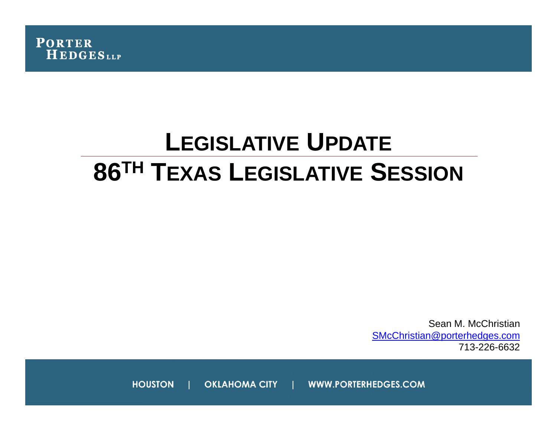

# **LEGISLATIVE UPDATE 86TH TEXAS LEGISLATIVE SESSION**

Sean M. McChristian SMcChristian@porterhedges.com 713-226-6632

**HOUSTON OKLAHOMA CITY** WWW.PORTERHEDGES.COM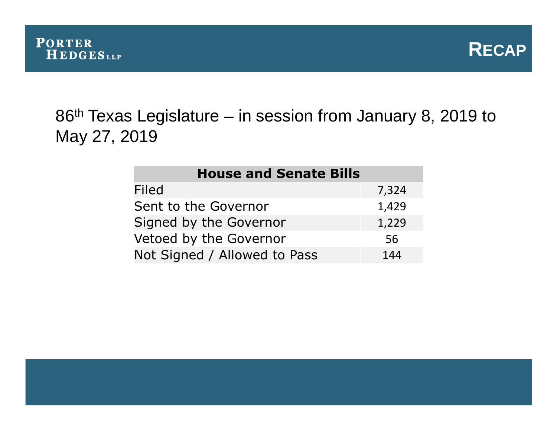



# 86<sup>th</sup> Texas Legislature – in session from January 8, 2019 to May 27, 2019

| <b>House and Senate Bills</b> |       |
|-------------------------------|-------|
| <b>Filed</b>                  | 7,324 |
| Sent to the Governor          | 1,429 |
| Signed by the Governor        | 1,229 |
| Vetoed by the Governor        | 56    |
| Not Signed / Allowed to Pass  | 144   |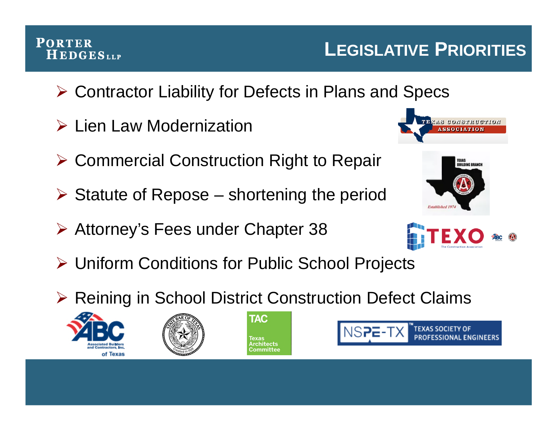# Contractor Liability for Defects in Plans and Specs

- **▶ Lien Law Modernization**
- **≻ Commercial Construction Right to Repair**
- $\triangleright$  Statute of Repose shortening the period
- Attorney's Fees under Chapter 38



**LEGISLATIVE PRIORITIES**

- Uniform Conditions for Public School Projects
- ▶ Reining in School District Construction Defect Claims













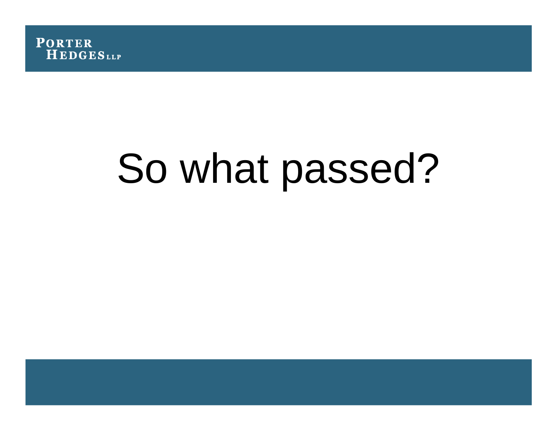

# So what passed?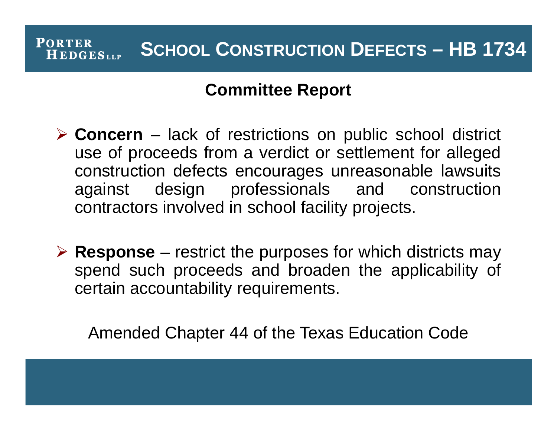### **Committee Report**

- **Concern** lack of restrictions on public school district use of proceeds from a verdict or settlement for alleged construction defects encourages unreasonable lawsuits against design professionals and construction contractors involved in school facility projects.
- **Response** restrict the purposes for which districts may spend such proceeds and broaden the applicability of certain accountability requirements.

Amended Chapter 44 of the Texas Education Code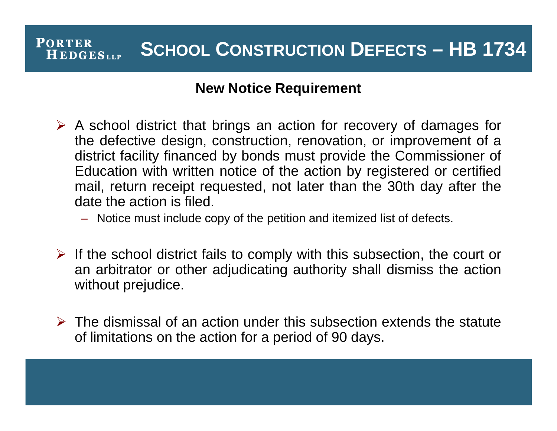#### **New Notice Requirement**

- $\triangleright$  A school district that brings an action for recovery of damages for the defective design, construction, renovation, or improvement of a district facility financed by bonds must provide the Commissioner of Education with written notice of the action by registered or certified mail, return receipt requested, not later than the 30th day after the date the action is filed.
	- Notice must include copy of the petition and itemized list of defects.
- $\triangleright$  If the school district fails to comply with this subsection, the court or an arbitrator or other adjudicating authority shall dismiss the action without prejudice.
- $\triangleright$  The dismissal of an action under this subsection extends the statute of limitations on the action for a period of 90 days.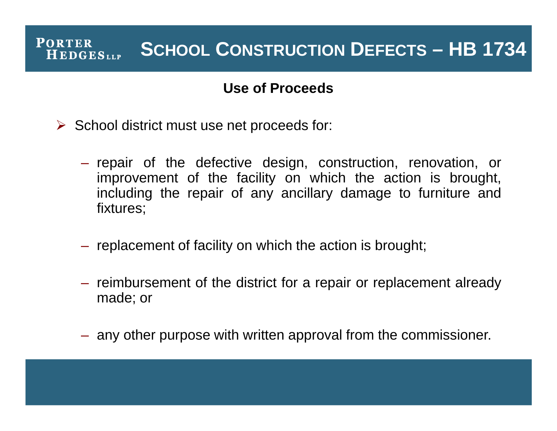#### **Use of Proceeds**

- $\triangleright$  School district must use net proceeds for:
	- repair of the defective design, construction, renovation, or improvement of the facility on which the action is brought, including the repair of any ancillary damage to furniture and fixtures;
	- replacement of facility on which the action is brought;
	- reimbursement of the district for a repair or replacement already made; or
	- any other purpose with written approval from the commissioner.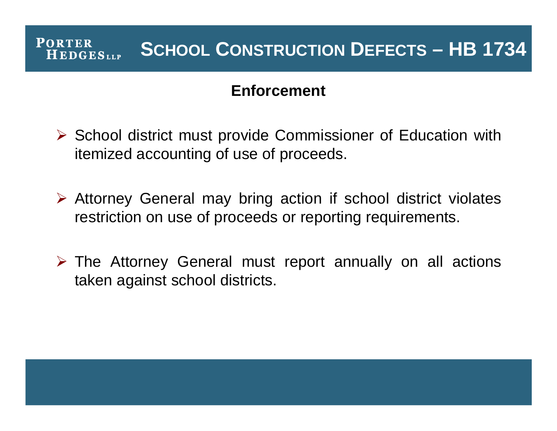### **Enforcement**

- $\triangleright$  School district must provide Commissioner of Education with itemized accounting of use of proceeds.
- $\triangleright$  Attorney General may bring action if school district violates restriction on use of proceeds or reporting requirements.
- $\triangleright$  The Attorney General must report annually on all actions taken against school districts.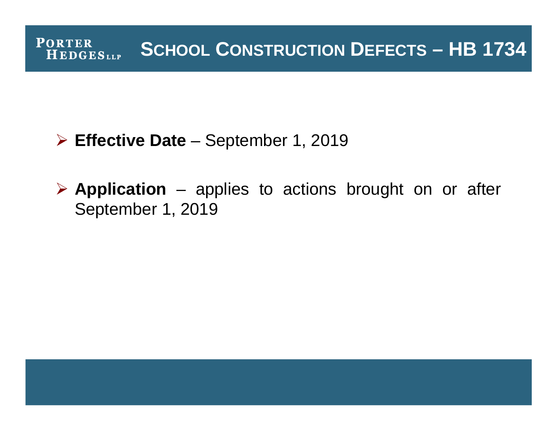# **Effective Date** – September 1, 2019

 **Application** – applies to actions brought on or after September 1, 2019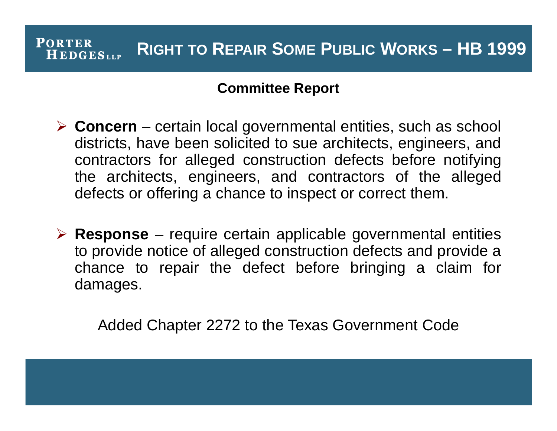#### **Committee Report**

- **Concern** certain local governmental entities, such as school districts, have been solicited to sue architects, engineers, and contractors for alleged construction defects before notifying the architects, engineers, and contractors of the alleged defects or offering a chance to inspect or correct them.
- **Response** require certain applicable governmental entities to provide notice of alleged construction defects and provide a chance to repair the defect before bringing a claim for damages.

Added Chapter 2272 to the Texas Government Code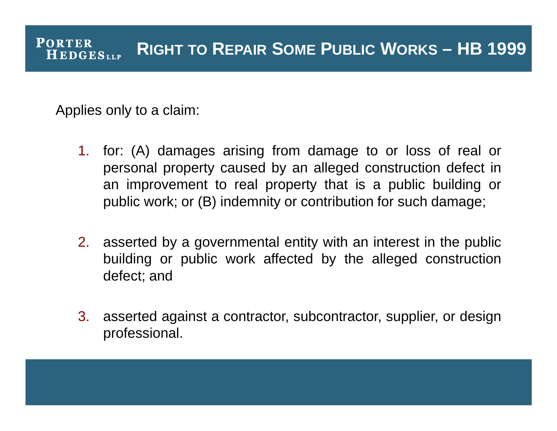Applies only to a claim:

- 1. for: (A) damages arising from damage to or loss of real or personal property caused by an alleged construction defect in an improvement to real property that is a public building or public work; or (B) indemnity or contribution for such damage;
- 2. asserted by a governmental entity with an interest in the public building or public work affected by the alleged construction defect; and
- 3. asserted against a contractor, subcontractor, supplier, or design professional.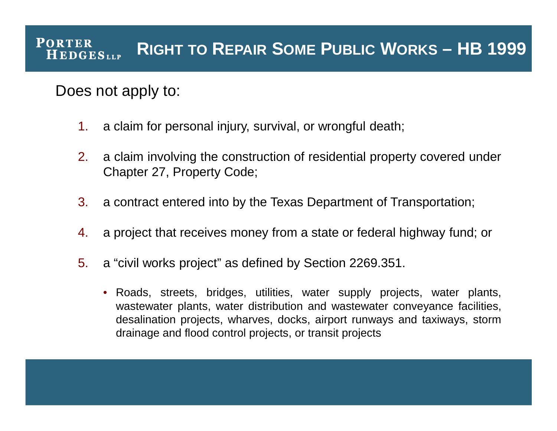### Does not apply to:

- 1. a claim for personal injury, survival, or wrongful death;
- 2. a claim involving the construction of residential property covered under Chapter 27, Property Code;
- 3. a contract entered into by the Texas Department of Transportation;
- 4. a project that receives money from a state or federal highway fund; or
- 5. a "civil works project" as defined by Section 2269.351.
	- Roads, streets, bridges, utilities, water supply projects, water plants, wastewater plants, water distribution and wastewater conveyance facilities, desalination projects, wharves, docks, airport runways and taxiways, storm drainage and flood control projects, or transit projects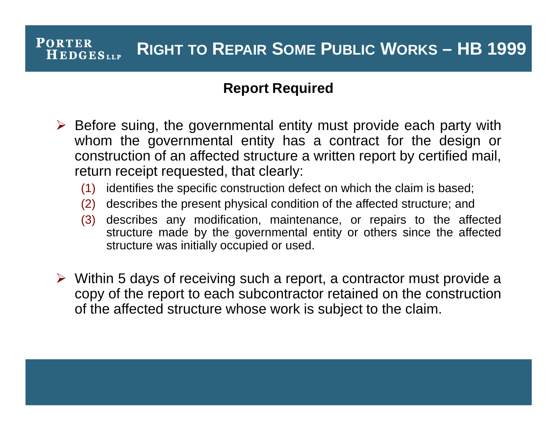#### **Report Required**

- $\triangleright$  Before suing, the governmental entity must provide each party with whom the governmental entity has a contract for the design or construction of an affected structure a written report by certified mail, return receipt requested, that clearly:
	- (1) identifies the specific construction defect on which the claim is based;
	- (2) describes the present physical condition of the affected structure; and
	- (3) describes any modification, maintenance, or repairs to the affected structure made by the governmental entity or others since the affected structure was initially occupied or used.
- $\triangleright$  Within 5 days of receiving such a report, a contractor must provide a copy of the report to each subcontractor retained on the construction of the affected structure whose work is subject to the claim.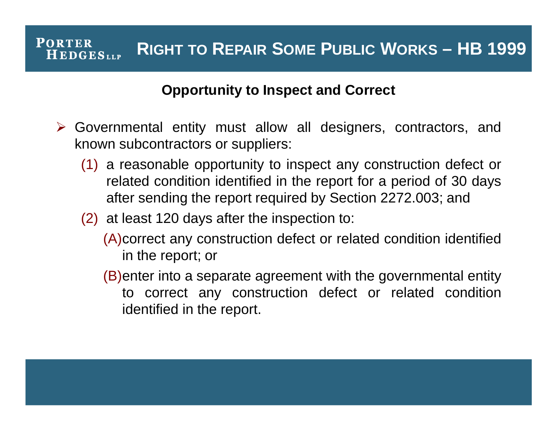#### **Opportunity to Inspect and Correct**

- Governmental entity must allow all designers, contractors, and known subcontractors or suppliers:
	- (1) a reasonable opportunity to inspect any construction defect or related condition identified in the report for a period of 30 days after sending the report required by Section 2272.003; and
	- (2) at least 120 days after the inspection to:
		- (A)correct any construction defect or related condition identified in the report; or
		- (B)enter into a separate agreement with the governmental entity to correct any construction defect or related condition identified in the report.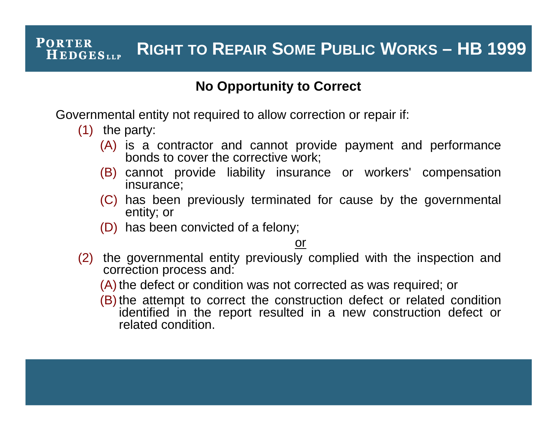#### **No Opportunity to Correct**

Governmental entity not required to allow correction or repair if:

- (1) the party:
	- (A) is a contractor and cannot provide payment and performance bonds to cover the corrective work;
	- (B) cannot provide liability insurance or workers' compensation insurance;
	- (C) has been previously terminated for cause by the governmental entity; or
	- (D) has been convicted of a felony;

#### or

- (2) the governmental entity previously complied with the inspection and correction process and:
	- (A) the defect or condition was not corrected as was required; or
	- (B) the attempt to correct the construction defect or related condition identified in the report resulted in a new construction defect or related condition.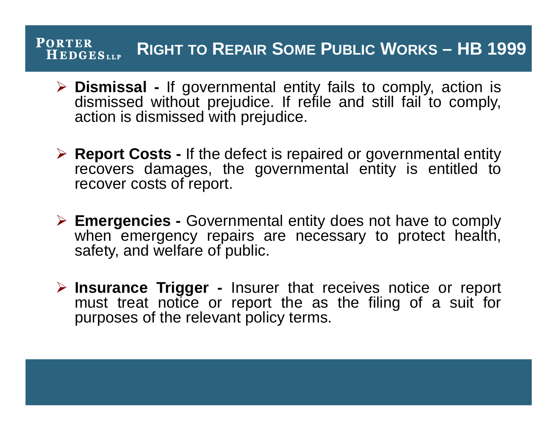- **Dismissal -** If governmental entity fails to comply, action is dismissed without prejudice. If refile and still fail to comply, action is dismissed with prejudice.
- **Report Costs -** If the defect is repaired or governmental entity recovers damages, the governmental entity is entitled to recover costs of report.
- **Emergencies -** Governmental entity does not have to comply when emergency repairs are necessary to protect health, safety, and welfare of public.
- **Insurance Trigger -** Insurer that receives notice or report must treat notice or report the as the filing of a suit for purposes of the relevant policy terms.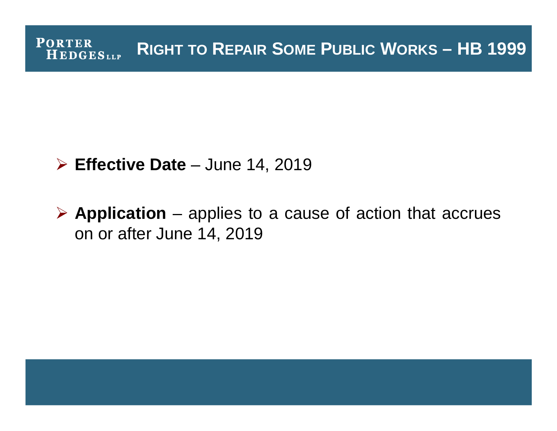### **Effective Date** – June 14, 2019

 **Application** – applies to a cause of action that accrues on or after June 14, 2019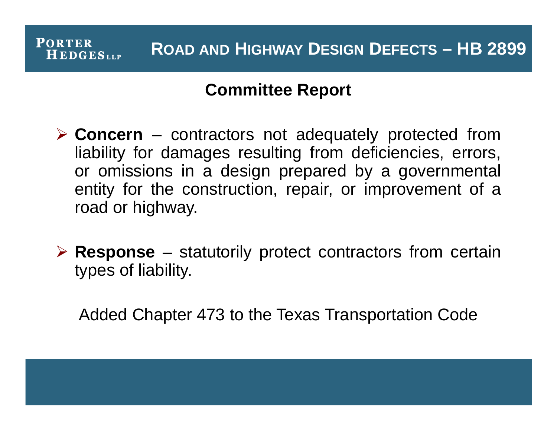# **ROAD AND HIGHWAY DESIGN DEFECTS – HB 2899**

### **Committee Report**

**PORTER** 

**HEDGES**LLP

- **Concern** contractors not adequately protected from liability for damages resulting from deficiencies, errors, or omissions in a design prepared by a governmental entity for the construction, repair, or improvement of a road or highway.
- **Response** statutorily protect contractors from certain types of liability.

Added Chapter 473 to the Texas Transportation Code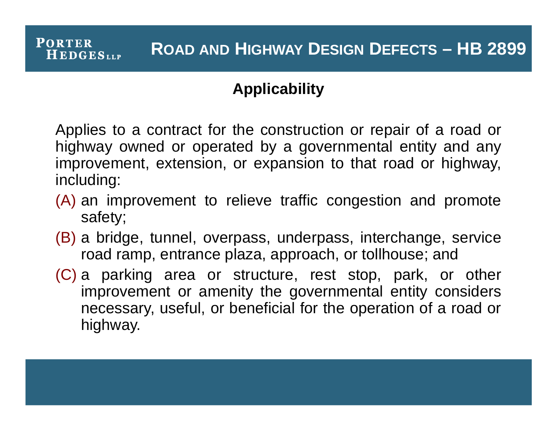### **Applicability**

**PORTER** 

HEDGESLLP

Applies to a contract for the construction or repair of a road or highway owned or operated by a governmental entity and any improvement, extension, or expansion to that road or highway, including:

- (A) an improvement to relieve traffic congestion and promote safety;
- (B) a bridge, tunnel, overpass, underpass, interchange, service road ramp, entrance plaza, approach, or tollhouse; and
- (C) a parking area or structure, rest stop, park, or other improvement or amenity the governmental entity considers necessary, useful, or beneficial for the operation of a road or highway.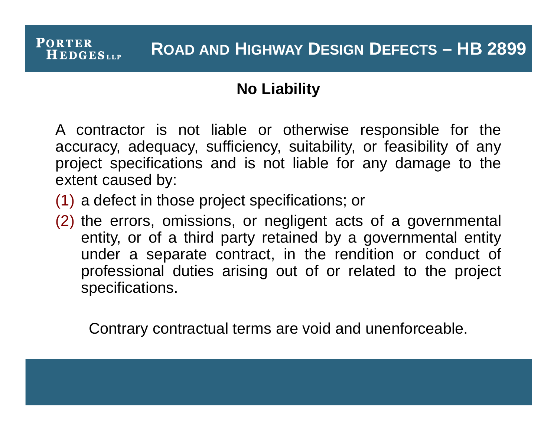# **ROAD AND HIGHWAY DESIGN DEFECTS – HB 2899**

### **No Liability**

A contractor is not liable or otherwise responsible for the accuracy, adequacy, sufficiency, suitability, or feasibility of any project specifications and is not liable for any damage to the extent caused by:

(1) a defect in those project specifications; or

**PORTER** 

**HEDGES**LLP

(2) the errors, omissions, or negligent acts of a governmental entity, or of a third party retained by a governmental entity under a separate contract, in the rendition or conduct of professional duties arising out of or related to the project specifications.

Contrary contractual terms are void and unenforceable.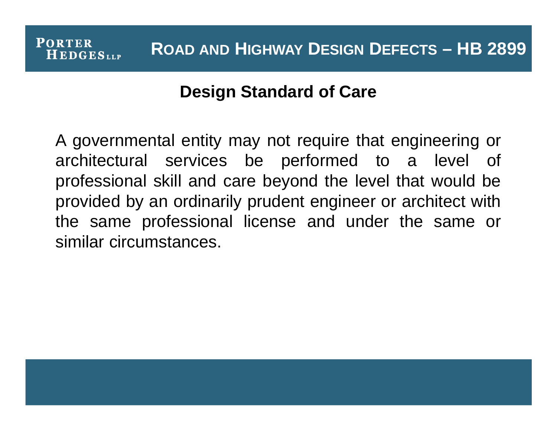# **Design Standard of Care**

**PORTER** 

**HEDGES**LLP

A governmental entity may not require that engineering or architectural services be performed to a level of professional skill and care beyond the level that would be provided by an ordinarily prudent engineer or architect with the same professional license and under the same or similar circumstances.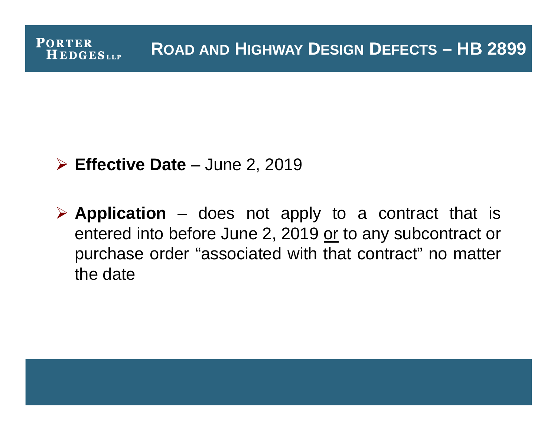**ROAD AND HIGHWAY DESIGN DEFECTS – HB 2899**

### **Effective Date** – June 2, 2019

**PORTER** 

**HEDGES**LLP

 **Application** – does not apply to a contract that is entered into before June 2, 2019 or to any subcontract or purchase order "associated with that contract" no matter the date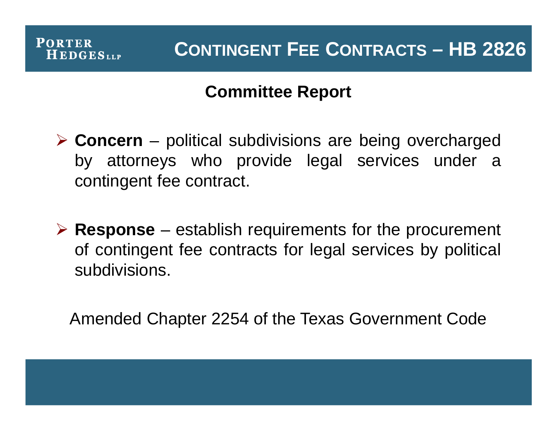

# **Committee Report**

 **Concern** – political subdivisions are being overcharged by attorneys who provide legal services under a contingent fee contract.

 **Response** – establish requirements for the procurement of contingent fee contracts for legal services by political subdivisions.

Amended Chapter 2254 of the Texas Government Code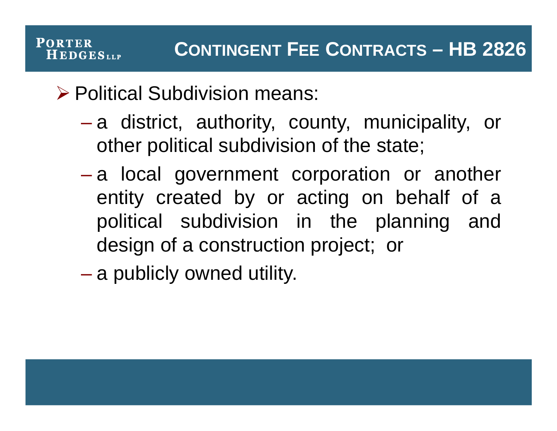Political Subdivision means:

**PORTER** 

**HEDGES**LLP

- a district, authority, county, municipality, or other political subdivision of the state;
- a local government corporation or another entity created by or acting on behalf of a political subdivision in the planning and design of a construction project; or

– a publicly owned utility.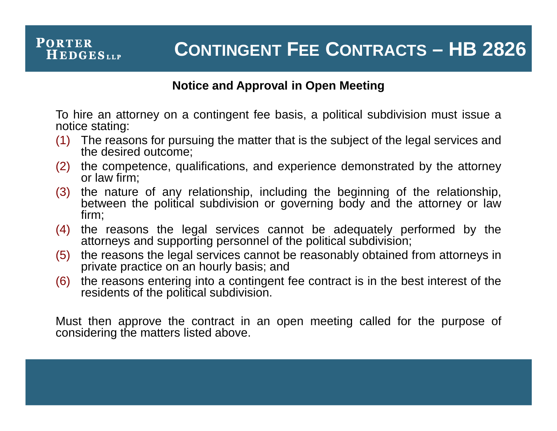#### **PORTER CONTINGENT FEE CONTRACTS – HB 2826 HEDGES**LLP

#### **Notice and Approval in Open Meeting**

To hire an attorney on a contingent fee basis, a political subdivision must issue a notice stating:

- (1) The reasons for pursuing the matter that is the subject of the legal services and the desired outcome;
- (2) the competence, qualifications, and experience demonstrated by the attorney or law firm;
- (3) the nature of any relationship, including the beginning of the relationship, between the political subdivision or governing body and the attorney or law firm;
- (4) the reasons the legal services cannot be adequately performed by the attorneys and supporting personnel of the political subdivision;
- (5) the reasons the legal services cannot be reasonably obtained from attorneys in private practice on an hourly basis; and
- (6) the reasons entering into a contingent fee contract is in the best interest of the residents of the political subdivision.

Must then approve the contract in an open meeting called for the purpose of considering the matters listed above.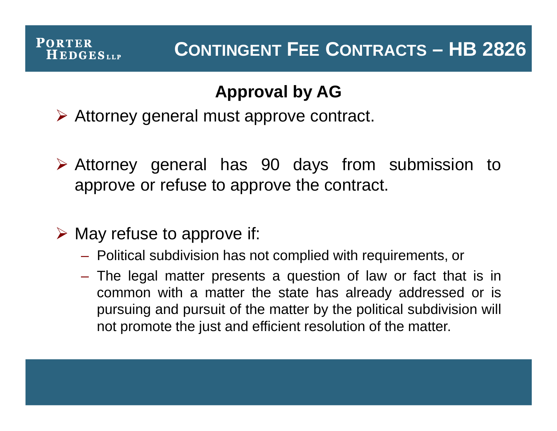#### **PORTER**  $H$  EDGES<sub>LLP</sub>

# **Approval by AG**

Attorney general must approve contract.

- Attorney general has 90 days from submission to approve or refuse to approve the contract.
- $\triangleright$  May refuse to approve if:
	- Political subdivision has not complied with requirements, or
	- The legal matter presents a question of law or fact that is in common with a matter the state has already addressed or is pursuing and pursuit of the matter by the political subdivision will not promote the just and efficient resolution of the matter.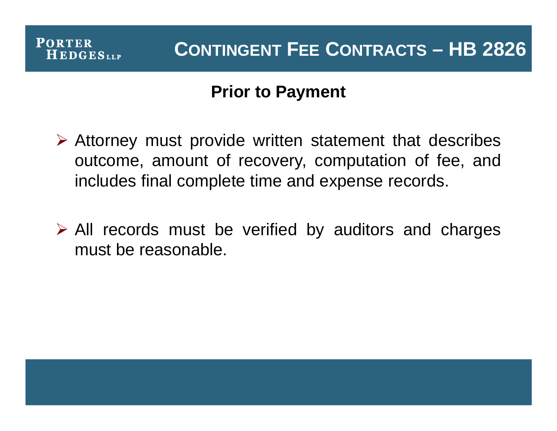

# **Prior to Payment**

- $\triangleright$  Attorney must provide written statement that describes outcome, amount of recovery, computation of fee, and includes final complete time and expense records.
- $\triangleright$  All records must be verified by auditors and charges must be reasonable.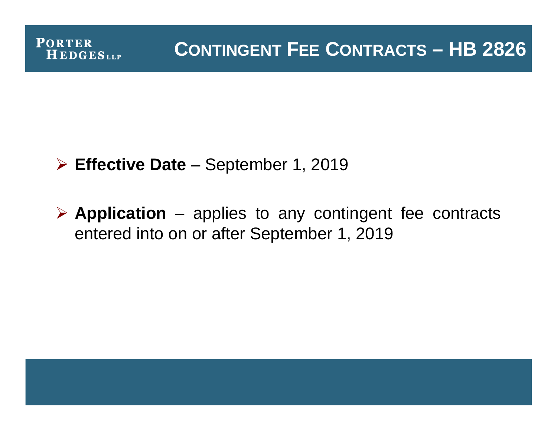

### **Effective Date** – September 1, 2019

 **Application** – applies to any contingent fee contracts entered into on or after September 1, 2019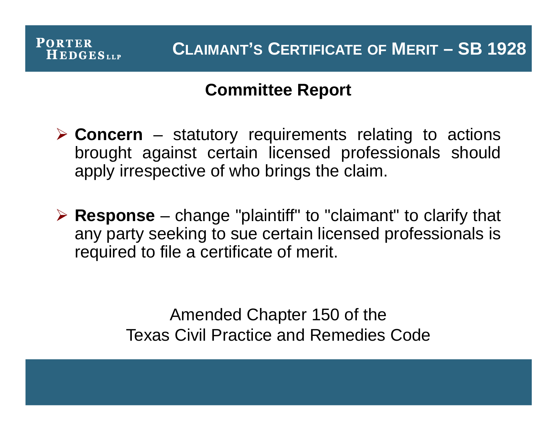

# **Committee Report**

- **Concern** statutory requirements relating to actions brought against certain licensed professionals should apply irrespective of who brings the claim.
- **Response** change "plaintiff" to "claimant" to clarify that any party seeking to sue certain licensed professionals is required to file a certificate of merit.

Amended Chapter 150 of the Texas Civil Practice and Remedies Code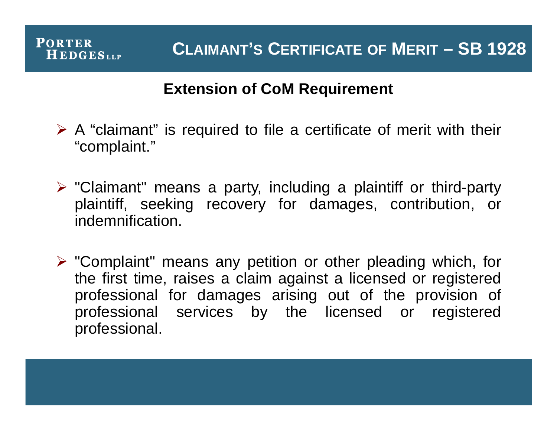### **Extension of CoM Requirement**

- $\triangleright$  A "claimant" is required to file a certificate of merit with their "complaint."
- $\triangleright$  "Claimant" means a party, including a plaintiff or third-party plaintiff, seeking recovery for damages, contribution, or indemnification.
- $\triangleright$  "Complaint" means any petition or other pleading which, for the first time, raises a claim against a licensed or registered professional for damages arising out of the provision of professional services by the licensed or registered professional.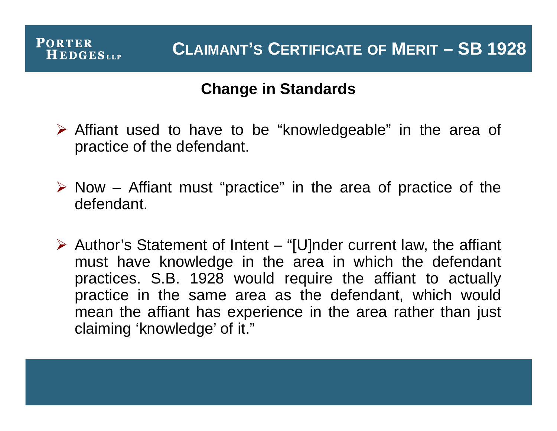### **Change in Standards**

- $\triangleright$  Affiant used to have to be "knowledgeable" in the area of practice of the defendant.
- $\triangleright$  Now Affiant must "practice" in the area of practice of the defendant.
- $\triangleright$  Author's Statement of Intent "[U]nder current law, the affiant must have knowledge in the area in which the defendant practices. S.B. 1928 would require the affiant to actually practice in the same area as the defendant, which would mean the affiant has experience in the area rather than just claiming 'knowledge' of it."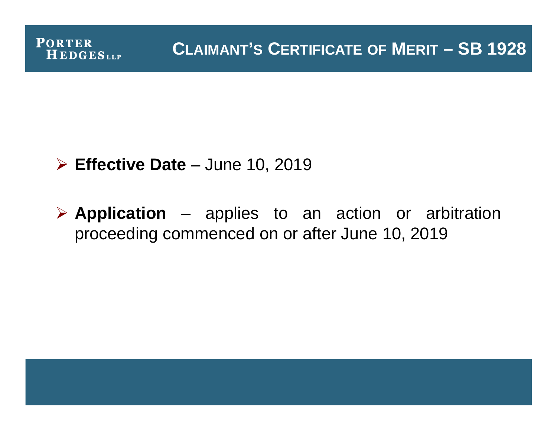

### **Effective Date** – June 10, 2019

 **Application** – applies to an action or arbitration proceeding commenced on or after June 10, 2019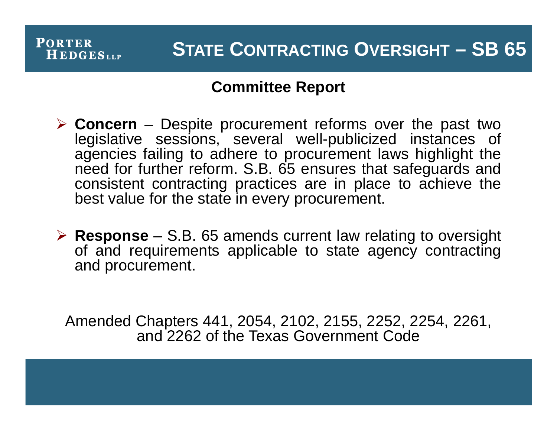### **Committee Report**

**PORTER** 

**HEDGESLLP** 

- **Concern** Despite procurement reforms over the past two legislative sessions, several well-publicized instances of agencies failing to adhere to procurement laws highlight the need for further reform. S.B. 65 ensures that safeguards and consistent contracting practices are in place to achieve the best value for the state in every procurement.
- **Response** S.B. 65 amends current law relating to oversight of and requirements applicable to state agency contracting and procurement.

Amended Chapters 441, 2054, 2102, 2155, 2252, 2254, 2261, and 2262 of the Texas Government Code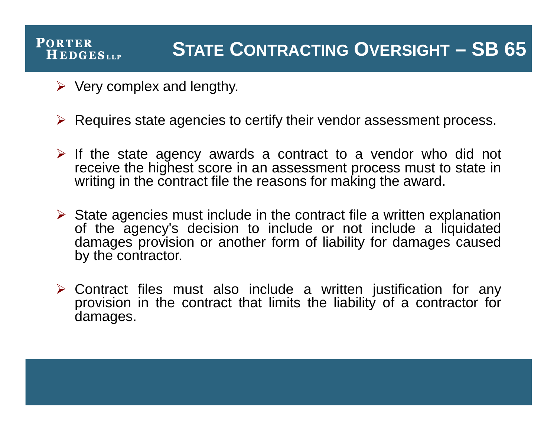# **STATE CONTRACTING OVERSIGHT – SB 65**

 $\triangleright$  Very complex and lengthy.

**PORTER** 

**HEDGES**LLP

- $\triangleright$  Requires state agencies to certify their vendor assessment process.
- $\triangleright$  If the state agency awards a contract to a vendor who did not receive the highest score in an assessment process must to state in writing in the contract file the reasons for making the award.
- $\triangleright$  State agencies must include in the contract file a written explanation of the agency's decision to include or not include a liquidated damages provision or another form of liability for damages caused by the contractor.
- $\triangleright$  Contract files must also include a written justification for any provision in the contract that limits the liability of a contractor for damages.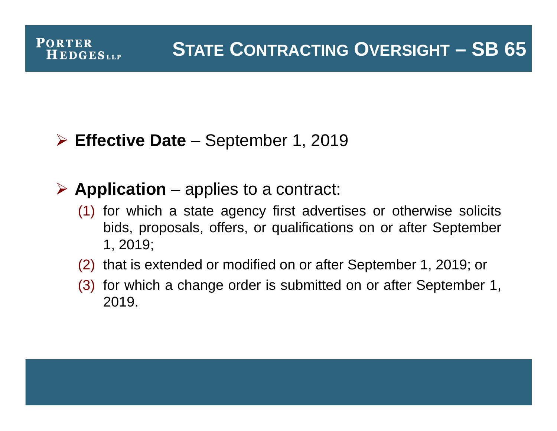# **Effective Date** – September 1, 2019

**PORTER** 

**HEDGES**LLP

# **Application** – applies to a contract:

- (1) for which a state agency first advertises or otherwise solicits bids, proposals, offers, or qualifications on or after September 1, 2019;
- (2) that is extended or modified on or after September 1, 2019; or
- (3) for which a change order is submitted on or after September 1, 2019.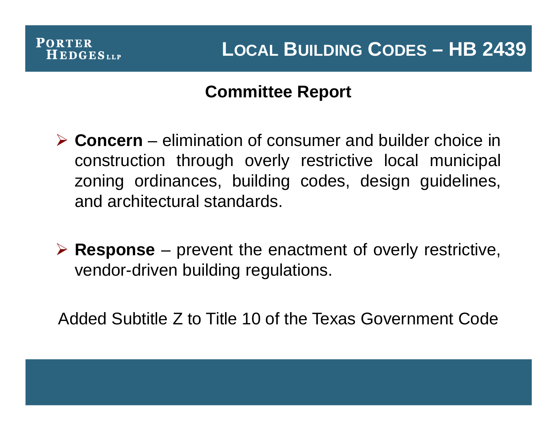# **Committee Report**

- **Concern** elimination of consumer and builder choice in construction through overly restrictive local municipal zoning ordinances, building codes, design guidelines, and architectural standards.
- **Response** prevent the enactment of overly restrictive, vendor-driven building regulations.

Added Subtitle Z to Title 10 of the Texas Government Code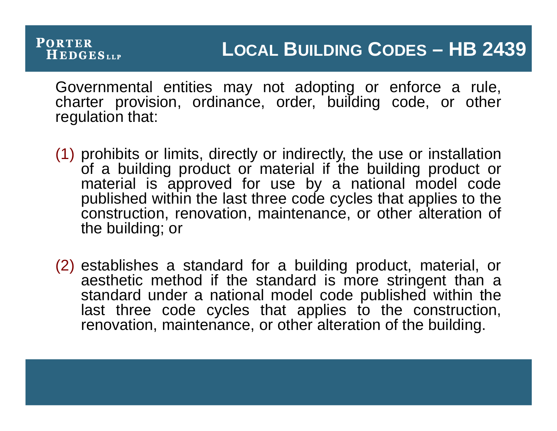#### **PORTER LOCAL BUILDING CODES – HB 2439 HEDGES**LLP

Governmental entities may not adopting or enforce a rule, charter provision, ordinance, order, building code, or other regulation that:

- (1) prohibits or limits, directly or indirectly, the use or installation of a building product or material if the building product or material is approved for use by a national model code published within the last three code cycles that applies to the construction, renovation, maintenance, or other alteration of the building; or
- (2) establishes a standard for a building product, material, or aesthetic method if the standard is more stringent than a standard under a national model code published within the last three code cycles that applies to the construction, renovation, maintenance, or other alteration of the building.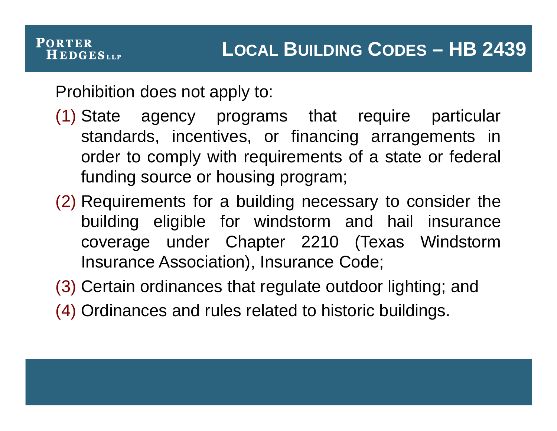Prohibition does not apply to:

**PORTER** 

**HEDGES**LLP

- (1) State agency programs that require particular standards, incentives, or financing arrangements in order to comply with requirements of a state or federal funding source or housing program;
- (2) Requirements for a building necessary to consider the building eligible for windstorm and hail insurance coverage under Chapter 2210 (Texas Windstorm Insurance Association), Insurance Code;
- (3) Certain ordinances that regulate outdoor lighting; and
- (4) Ordinances and rules related to historic buildings.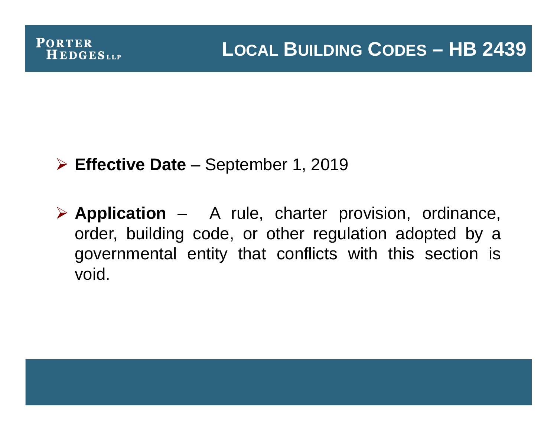# **Effective Date** – September 1, 2019

 **Application** – A rule, charter provision, ordinance, order, building code, or other regulation adopted by a governmental entity that conflicts with this section is void.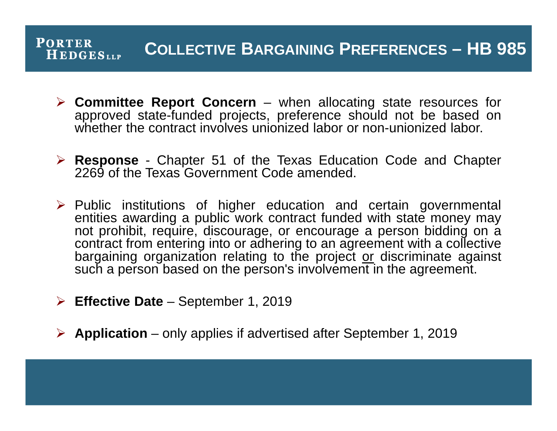#### **PORTER COLLECTIVE BARGAINING PREFERENCES – HB 985 HEDGESLLP**

- **Committee Report Concern** when allocating state resources for approved state-funded projects, preference should not be based on whether the contract involves unionized labor or non-unionized labor.
- **Response** Chapter 51 of the Texas Education Code and Chapter 2269 of the Texas Government Code amended.
- $\triangleright$  Public institutions of higher education and certain governmental entities awarding a public work contract funded with state money may not prohibit, require, discourage, or encourage a person bidding on a contract from entering into or adhering to an agreement with a collective bargaining organization relating to the project or discriminate against such a person based on the person's involvement in the agreement.
- **Effective Date** September 1, 2019
- **Application** only applies if advertised after September 1, 2019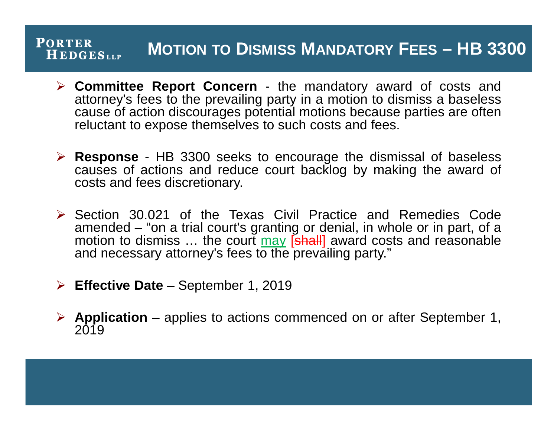#### **PORTER MOTION TO DISMISS MANDATORY FEES – HB 3300 HEDGES**LLP

- **Committee Report Concern** the mandatory award of costs and attorney's fees to the prevailing party in a motion to dismiss a baseless cause of action discourages potential motions because parties are often reluctant to expose themselves to such costs and fees.
- **Response** HB 3300 seeks to encourage the dismissal of baseless causes of actions and reduce court backlog by making the award of costs and fees discretionary.
- $\triangleright$  Section 30.021 of the Texas Civil Practice and Remedies Code amended – "on a trial court's granting or denial, in whole or in part, of a motion to dismiss ... the court may [shall] award costs and reasonable and necessary attorney's fees to the prevailing party."
- **Effective Date** September 1, 2019
- **Application** applies to actions commenced on or after September 1, 2019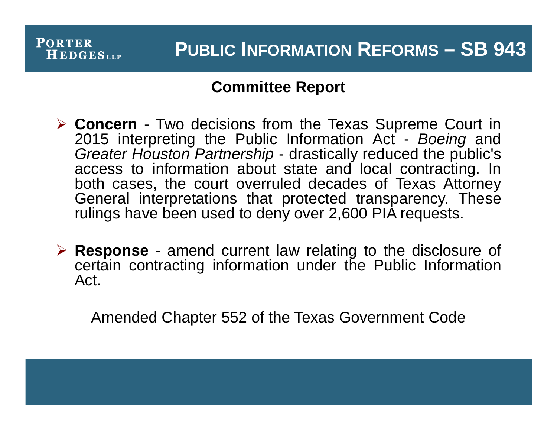### **Committee Report**

- **Concern** Two decisions from the Texas Supreme Court in 2015 interpreting the Public Information Act - *Boeing* and *Greater Houston Partnership* - drastically reduced the public's access to information about state and local contracting. In both cases, the court overruled decades of Texas Attorney General interpretations that protected transparency. These rulings have been used to deny over 2,600 PIA requests.
- **Response** amend current law relating to the disclosure of certain contracting information under the Public Information Act.

Amended Chapter 552 of the Texas Government Code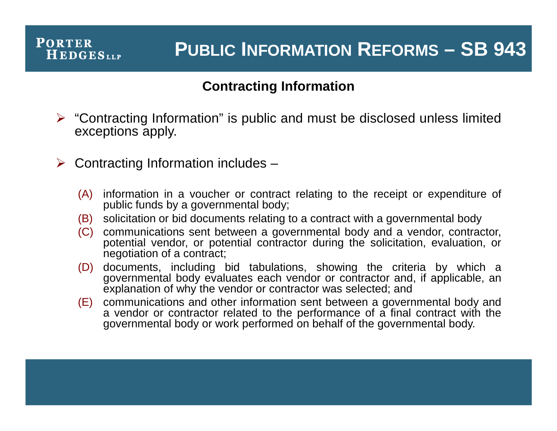# **PUBLIC INFORMATION REFORMS – SB 943**

#### **Contracting Information**

- $\triangleright$  "Contracting Information" is public and must be disclosed unless limited exceptions apply.
- $\triangleright$  Contracting Information includes
	- (A) information in a voucher or contract relating to the receipt or expenditure of public funds by a governmental body;
	- (B) solicitation or bid documents relating to a contract with a governmental body
	- (C) communications sent between a governmental body and a vendor, contractor, potential vendor, or potential contractor during the solicitation, evaluation, or negotiation of a contract;
	- (D) documents, including bid tabulations, showing the criteria by which a governmental body evaluates each vendor or contractor and, if applicable, an explanation of why the vendor or contractor was selected; and
	- (E) communications and other information sent between a governmental body and a vendor or contractor related to the performance of a final contract with the governmental body or work performed on behalf of the governmental body.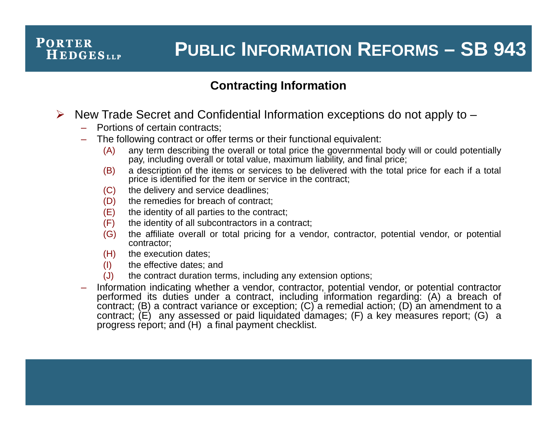# **PUBLIC INFORMATION REFORMS – SB 943**

#### **Contracting Information**

- $\triangleright$  New Trade Secret and Confidential Information exceptions do not apply to  $-$ 
	- Portions of certain contracts;
	- The following contract or offer terms or their functional equivalent:
		- (A) any term describing the overall or total price the governmental body will or could potentially pay, including overall or total value, maximum liability, and final price:
		- (B) a description of the items or services to be delivered with the total price for each if a total price is identified for the item or service in the contract;
		- (C) the delivery and service deadlines;
		- (D) the remedies for breach of contract;
		- (E) the identity of all parties to the contract;
		- (F) the identity of all subcontractors in a contract;
		- (G) the affiliate overall or total pricing for a vendor, contractor, potential vendor, or potential contractor;
		- (H) the execution dates;
		- (I) the effective dates; and
		- (J) the contract duration terms, including any extension options;
	- Information indicating whether a vendor, contractor, potential vendor, or potential contractor performed its duties under a contract, including information regarding: (A) a breach of contract; (B) a contract variance or exception; (C) a remedial action; (D) an amendment to a contract;  $(E)$  any assessed or paid liquidated damages;  $(F)$  a key measures report;  $(G)$  a progress report; and (H) a final payment checklist.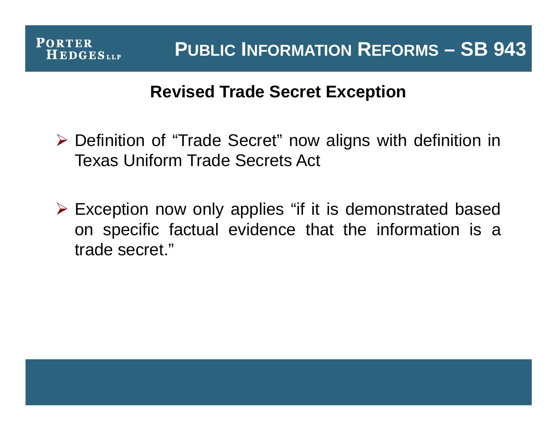# **Revised Trade Secret Exception**

- ▶ Definition of "Trade Secret" now aligns with definition in Texas Uniform Trade Secrets Act
- Exception now only applies "if it is demonstrated based on specific factual evidence that the information is a trade secret."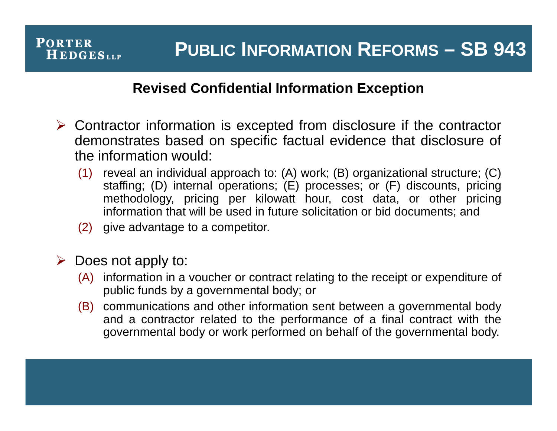### **Revised Confidential Information Exception**

- $\triangleright$  Contractor information is excepted from disclosure if the contractor demonstrates based on specific factual evidence that disclosure of the information would:
	- (1) reveal an individual approach to: (A) work; (B) organizational structure; (C) staffing; (D) internal operations; (E) processes; or (F) discounts, pricing methodology, pricing per kilowatt hour, cost data, or other pricing information that will be used in future solicitation or bid documents; and
	- (2) give advantage to a competitor.

 $\triangleright$  Does not apply to:

- (A) information in a voucher or contract relating to the receipt or expenditure of public funds by a governmental body; or
- (B) communications and other information sent between a governmental body and a contractor related to the performance of a final contract with the governmental body or work performed on behalf of the governmental body.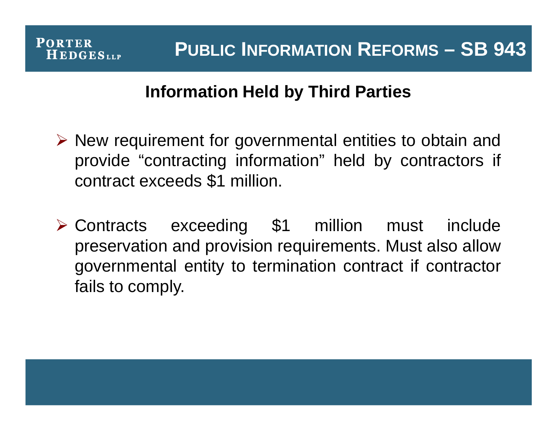# **Information Held by Third Parties**

- $\triangleright$  New requirement for governmental entities to obtain and provide "contracting information" held by contractors if contract exceeds \$1 million.
- Contracts exceeding \$1 million must include preservation and provision requirements. Must also allow governmental entity to termination contract if contractor fails to comply.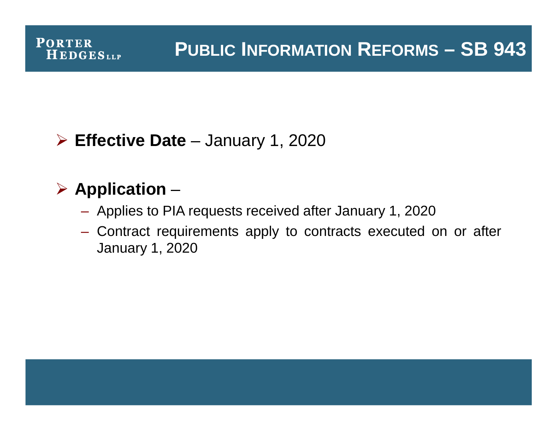# **PUBLIC INFORMATION REFORMS – SB 943**

# **Effective Date** – January 1, 2020

# **Application** –

**PORTER** 

**HEDGESLLP** 

- Applies to PIA requests received after January 1, 2020
- Contract requirements apply to contracts executed on or after January 1, 2020